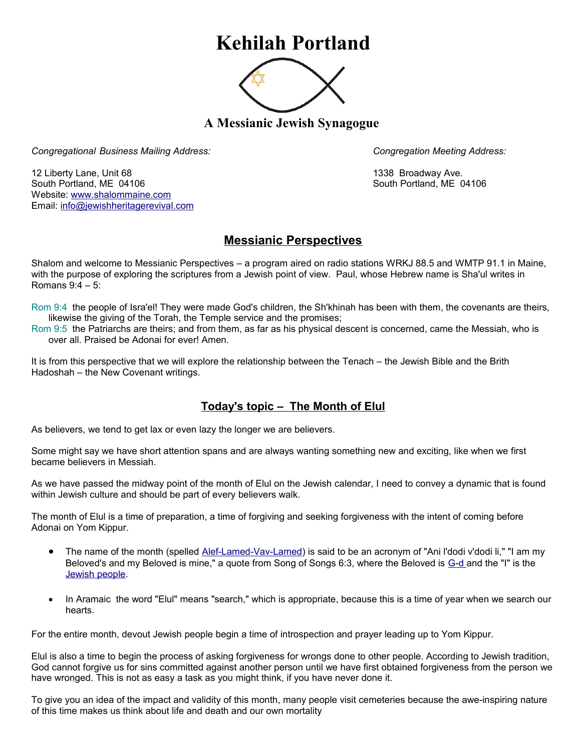## **Kehilah Portland**



**A Messianic Jewish Synagogue** 

*Congregational Business Mailing Address: Congregation Meeting Address:*

12 Liberty Lane, Unit 68 1338 Broadway Ave. South Portland, ME 04106 South Portland, ME 04106 Website: [www.shalommaine.com](http://www.shalommaine.com/) Email: [info@jewishheritagerevival.com](mailto:info@jewishheritagerevival.com) 

## **Messianic Perspectives**

Shalom and welcome to Messianic Perspectives – a program aired on radio stations WRKJ 88.5 and WMTP 91.1 in Maine, with the purpose of exploring the scriptures from a Jewish point of view. Paul, whose Hebrew name is Sha'ul writes in Romans 9:4 – 5:

Rom 9:4 the people of Isra'el! They were made God's children, the Sh'khinah has been with them, the covenants are theirs, likewise the giving of the Torah, the Temple service and the promises;

Rom 9:5 the Patriarchs are theirs; and from them, as far as his physical descent is concerned, came the Messiah, who is over all. Praised be Adonai for ever! Amen.

It is from this perspective that we will explore the relationship between the Tenach – the Jewish Bible and the Brith Hadoshah – the New Covenant writings.

## **Today's topic – The Month of Elul**

As believers, we tend to get lax or even lazy the longer we are believers.

Some might say we have short attention spans and are always wanting something new and exciting, like when we first became believers in Messiah.

As we have passed the midway point of the month of Elul on the Jewish calendar, I need to convey a dynamic that is found within Jewish culture and should be part of every believers walk.

The month of Elul is a time of preparation, a time of forgiving and seeking forgiveness with the intent of coming before Adonai on Yom Kippur.

- The name of the month (spelled [Alef-Lamed-Vav-Lamed\)](http://www.jewfaq.org/defs/alephbet.htm) is said to be an acronym of "Ani l'dodi v'dodi li," "I am my Beloved's and my Beloved is mine," a quote from Song of Songs 6:3, where the Beloved is [G-d a](http://www.jewfaq.org/defs/g-d.htm)nd the "I" is the [Jewish people.](http://www.jewfaq.org/defs/people.htm)
- In Aramaic the word "Elul" means "search," which is appropriate, because this is a time of year when we search our hearts.

For the entire month, devout Jewish people begin a time of introspection and prayer leading up to Yom Kippur.

Elul is also a time to begin the process of asking forgiveness for wrongs done to other people. According to Jewish tradition, God cannot forgive us for sins committed against another person until we have first obtained forgiveness from the person we have wronged. This is not as easy a task as you might think, if you have never done it.

To give you an idea of the impact and validity of this month, many people visit cemeteries because the awe-inspiring nature of this time makes us think about life and death and our own mortality